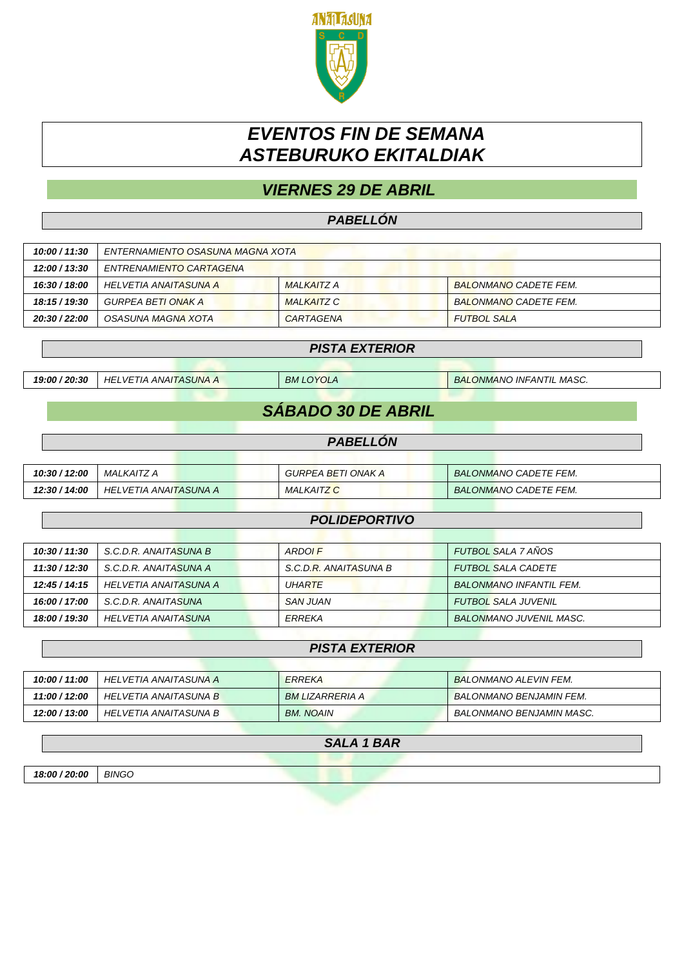

# *EVENTOS FIN DE SEMANA ASTEBURUKO EKITALDIAK*

## *VIERNES 29 DE ABRIL*

### *PABELLÓN*

| 10:00 / 11:30 | ENTERNAMIENTO OSASUNA MAGNA XOTA |                   |                              |
|---------------|----------------------------------|-------------------|------------------------------|
| 12:00 / 13:30 | ENTRENAMIENTO CARTAGENA          |                   |                              |
| 16:30 / 18:00 | HELVETIA ANAITASUNA A            | MAI KAITZ A       | <b>BALONMANO CADETE FEM.</b> |
| 18:15 / 19:30 | GURPEA BETI ONAK A               | <b>MALKAITZ C</b> | <b>BALONMANO CADETE FEM.</b> |
| 20:30 / 22:00 | OSASUNA MAGNA XOTA               | CARTAGENA         | <b>FUTBOL SALA</b>           |
|               |                                  |                   |                              |

## *PISTA EXTERIOR*

*19:00 / 20:30 HELVETIA ANAITASUNA A BM LOYOLA BALONMANO INFANTIL MASC.*

## *SÁBADO 30 DE ABRIL*

#### *PABELLÓN*

| 10:30 / 12:00 | MALKAITZ A            | GURPEA BETI ONAK A | <b>BALONMANO CADETE FEM.</b> |
|---------------|-----------------------|--------------------|------------------------------|
| 12:30 / 14:00 | HELVETIA ANAITASUNA A | <b>MALKAITZ C</b>  | <b>BALONMANO CADETE FEM.</b> |

#### *POLIDEPORTIVO*

| 10:30 / 11:30 | S.C.D.R. ANAITASUNA B | ARDOI F               | <b>FUTBOL SALA 7 AÑOS</b>      |
|---------------|-----------------------|-----------------------|--------------------------------|
| 11:30 / 12:30 | S.C.D.R. ANAITASUNA A | S.C.D.R. ANAITASUNA B | <b>FUTBOL SALA CADETE</b>      |
| 12:45 / 14:15 | HELVETIA ANAITASUNA A | <b>UHARTE</b>         | <b>BALONMANO INFANTIL FEM.</b> |
| 16:00 / 17:00 | S.C.D.R. ANAITASUNA   | <b>SAN JUAN</b>       | <b>FUTBOL SALA JUVENIL</b>     |
| 18:00 / 19:30 | HELVETIA ANAITASUNA   | ERREKA                | <b>BALONMANO JUVENIL MASC.</b> |

#### *PISTA EXTERIOR*

| 10:00 / 11:00 | HELVETIA ANAITASUNA A | <b>ERREKA</b>    | <b>BALONMANO ALEVIN FEM.</b>   |
|---------------|-----------------------|------------------|--------------------------------|
| 11:00 / 12:00 | HELVETIA ANAITASUNA B | BM LIZARRERIA A  | <b>BALONMANO BENJAMIN FEM.</b> |
| 12:00 / 13:00 | HELVETIA ANAITASUNA B | <b>BM. NOAIN</b> | BALONMANO BENJAMIN MASC.       |

### *SALA 1 BAR*

*18:00 / 20:00 BINGO*